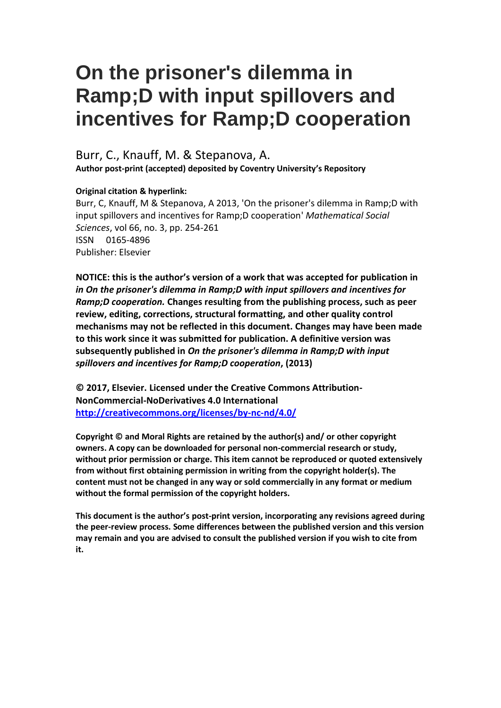# **On the prisoner's dilemma in Ramp;D with input spillovers and incentives for Ramp;D cooperation**

Burr, C., Knauff, M. & Stepanova, A. **Author post-print (accepted) deposited by Coventry University's Repository**

## **Original citation & hyperlink:**

Burr, C, Knauff, M & Stepanova, A 2013, 'On the prisoner's dilemma in Ramp;D with input spillovers and incentives for Ramp;D cooperation' *Mathematical Social Sciences*, vol 66, no. 3, pp. 254-261 ISSN 0165-4896 Publisher: Elsevier

**NOTICE: this is the author's version of a work that was accepted for publication in**  *in On the prisoner's dilemma in Ramp;D with input spillovers and incentives for Ramp;D cooperation.* **Changes resulting from the publishing process, such as peer review, editing, corrections, structural formatting, and other quality control mechanisms may not be reflected in this document. Changes may have been made to this work since it was submitted for publication. A definitive version was subsequently published in** *On the prisoner's dilemma in Ramp;D with input spillovers and incentives for Ramp;D cooperation***, (2013)**

**© 2017, Elsevier. Licensed under the Creative Commons Attribution-NonCommercial-NoDerivatives 4.0 International <http://creativecommons.org/licenses/by-nc-nd/4.0/>**

**Copyright © and Moral Rights are retained by the author(s) and/ or other copyright owners. A copy can be downloaded for personal non-commercial research or study, without prior permission or charge. This item cannot be reproduced or quoted extensively from without first obtaining permission in writing from the copyright holder(s). The content must not be changed in any way or sold commercially in any format or medium without the formal permission of the copyright holders.** 

**This document is the author's post-print version, incorporating any revisions agreed during the peer-review process. Some differences between the published version and this version may remain and you are advised to consult the published version if you wish to cite from it.**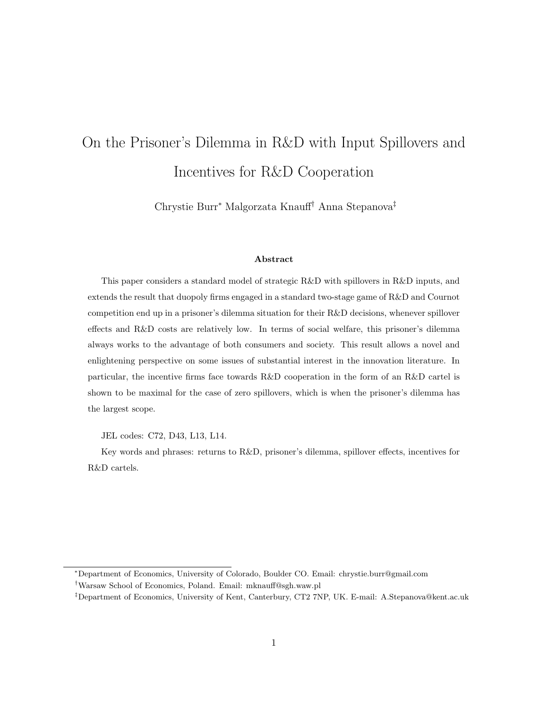## On the Prisoner's Dilemma in R&D with Input Spillovers and Incentives for R&D Cooperation

Chrystie Burr<sup>∗</sup> Malgorzata Knauff† Anna Stepanova‡

#### Abstract

This paper considers a standard model of strategic R&D with spillovers in R&D inputs, and extends the result that duopoly firms engaged in a standard two-stage game of R&D and Cournot competition end up in a prisoner's dilemma situation for their R&D decisions, whenever spillover effects and R&D costs are relatively low. In terms of social welfare, this prisoner's dilemma always works to the advantage of both consumers and society. This result allows a novel and enlightening perspective on some issues of substantial interest in the innovation literature. In particular, the incentive firms face towards R&D cooperation in the form of an R&D cartel is shown to be maximal for the case of zero spillovers, which is when the prisoner's dilemma has the largest scope.

JEL codes: C72, D43, L13, L14.

Key words and phrases: returns to R&D, prisoner's dilemma, spillover effects, incentives for R&D cartels.

<sup>∗</sup>Department of Economics, University of Colorado, Boulder CO. Email: chrystie.burr@gmail.com

<sup>†</sup>Warsaw School of Economics, Poland. Email: mknauff@sgh.waw.pl

<sup>‡</sup>Department of Economics, University of Kent, Canterbury, CT2 7NP, UK. E-mail: A.Stepanova@kent.ac.uk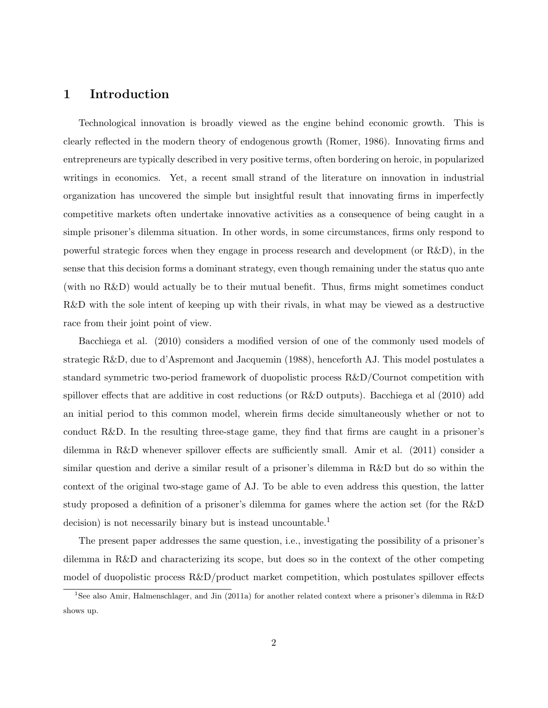## 1 Introduction

Technological innovation is broadly viewed as the engine behind economic growth. This is clearly reflected in the modern theory of endogenous growth (Romer, 1986). Innovating firms and entrepreneurs are typically described in very positive terms, often bordering on heroic, in popularized writings in economics. Yet, a recent small strand of the literature on innovation in industrial organization has uncovered the simple but insightful result that innovating firms in imperfectly competitive markets often undertake innovative activities as a consequence of being caught in a simple prisoner's dilemma situation. In other words, in some circumstances, firms only respond to powerful strategic forces when they engage in process research and development (or R&D), in the sense that this decision forms a dominant strategy, even though remaining under the status quo ante (with no R&D) would actually be to their mutual benefit. Thus, firms might sometimes conduct R&D with the sole intent of keeping up with their rivals, in what may be viewed as a destructive race from their joint point of view.

Bacchiega et al. (2010) considers a modified version of one of the commonly used models of strategic R&D, due to d'Aspremont and Jacquemin (1988), henceforth AJ. This model postulates a standard symmetric two-period framework of duopolistic process R&D/Cournot competition with spillover effects that are additive in cost reductions (or R&D outputs). Bacchiega et al (2010) add an initial period to this common model, wherein firms decide simultaneously whether or not to conduct R&D. In the resulting three-stage game, they find that firms are caught in a prisoner's dilemma in R&D whenever spillover effects are sufficiently small. Amir et al. (2011) consider a similar question and derive a similar result of a prisoner's dilemma in R&D but do so within the context of the original two-stage game of AJ. To be able to even address this question, the latter study proposed a definition of a prisoner's dilemma for games where the action set (for the R&D decision) is not necessarily binary but is instead uncountable.<sup>1</sup>

The present paper addresses the same question, i.e., investigating the possibility of a prisoner's dilemma in R&D and characterizing its scope, but does so in the context of the other competing model of duopolistic process R&D/product market competition, which postulates spillover effects

<sup>1</sup>See also Amir, Halmenschlager, and Jin (2011a) for another related context where a prisoner's dilemma in R&D shows up.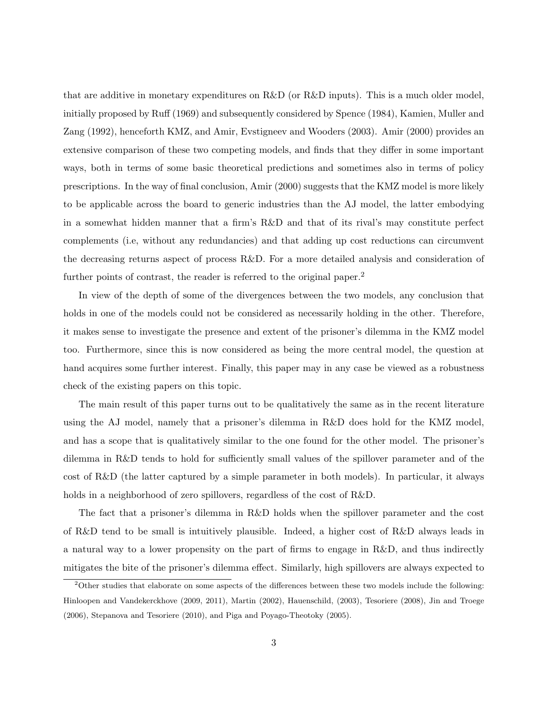that are additive in monetary expenditures on R&D (or R&D inputs). This is a much older model, initially proposed by Ruff (1969) and subsequently considered by Spence (1984), Kamien, Muller and Zang (1992), henceforth KMZ, and Amir, Evstigneev and Wooders (2003). Amir (2000) provides an extensive comparison of these two competing models, and finds that they differ in some important ways, both in terms of some basic theoretical predictions and sometimes also in terms of policy prescriptions. In the way of final conclusion, Amir (2000) suggests that the KMZ model is more likely to be applicable across the board to generic industries than the AJ model, the latter embodying in a somewhat hidden manner that a firm's R&D and that of its rival's may constitute perfect complements (i.e, without any redundancies) and that adding up cost reductions can circumvent the decreasing returns aspect of process  $R\&D$ . For a more detailed analysis and consideration of further points of contrast, the reader is referred to the original paper.<sup>2</sup>

In view of the depth of some of the divergences between the two models, any conclusion that holds in one of the models could not be considered as necessarily holding in the other. Therefore, it makes sense to investigate the presence and extent of the prisoner's dilemma in the KMZ model too. Furthermore, since this is now considered as being the more central model, the question at hand acquires some further interest. Finally, this paper may in any case be viewed as a robustness check of the existing papers on this topic.

The main result of this paper turns out to be qualitatively the same as in the recent literature using the AJ model, namely that a prisoner's dilemma in R&D does hold for the KMZ model, and has a scope that is qualitatively similar to the one found for the other model. The prisoner's dilemma in R&D tends to hold for sufficiently small values of the spillover parameter and of the cost of R&D (the latter captured by a simple parameter in both models). In particular, it always holds in a neighborhood of zero spillovers, regardless of the cost of R&D.

The fact that a prisoner's dilemma in R&D holds when the spillover parameter and the cost of R&D tend to be small is intuitively plausible. Indeed, a higher cost of R&D always leads in a natural way to a lower propensity on the part of firms to engage in R&D, and thus indirectly mitigates the bite of the prisoner's dilemma effect. Similarly, high spillovers are always expected to

 $2$ Other studies that elaborate on some aspects of the differences between these two models include the following: Hinloopen and Vandekerckhove (2009, 2011), Martin (2002), Hauenschild, (2003), Tesoriere (2008), Jin and Troege (2006), Stepanova and Tesoriere (2010), and Piga and Poyago-Theotoky (2005).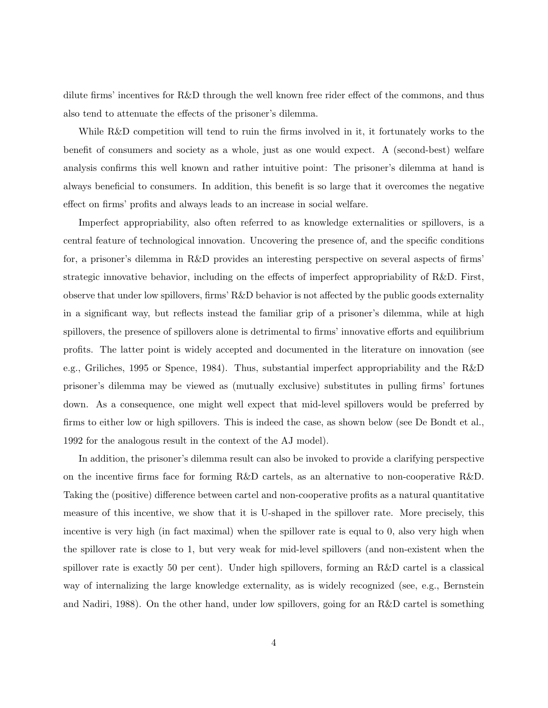dilute firms' incentives for R&D through the well known free rider effect of the commons, and thus also tend to attenuate the effects of the prisoner's dilemma.

While R&D competition will tend to ruin the firms involved in it, it fortunately works to the benefit of consumers and society as a whole, just as one would expect. A (second-best) welfare analysis confirms this well known and rather intuitive point: The prisoner's dilemma at hand is always beneficial to consumers. In addition, this benefit is so large that it overcomes the negative effect on firms' profits and always leads to an increase in social welfare.

Imperfect appropriability, also often referred to as knowledge externalities or spillovers, is a central feature of technological innovation. Uncovering the presence of, and the specific conditions for, a prisoner's dilemma in R&D provides an interesting perspective on several aspects of firms' strategic innovative behavior, including on the effects of imperfect appropriability of R&D. First, observe that under low spillovers, firms' R&D behavior is not affected by the public goods externality in a significant way, but reflects instead the familiar grip of a prisoner's dilemma, while at high spillovers, the presence of spillovers alone is detrimental to firms' innovative efforts and equilibrium profits. The latter point is widely accepted and documented in the literature on innovation (see e.g., Griliches, 1995 or Spence, 1984). Thus, substantial imperfect appropriability and the R&D prisoner's dilemma may be viewed as (mutually exclusive) substitutes in pulling firms' fortunes down. As a consequence, one might well expect that mid-level spillovers would be preferred by firms to either low or high spillovers. This is indeed the case, as shown below (see De Bondt et al., 1992 for the analogous result in the context of the AJ model).

In addition, the prisoner's dilemma result can also be invoked to provide a clarifying perspective on the incentive firms face for forming R&D cartels, as an alternative to non-cooperative R&D. Taking the (positive) difference between cartel and non-cooperative profits as a natural quantitative measure of this incentive, we show that it is U-shaped in the spillover rate. More precisely, this incentive is very high (in fact maximal) when the spillover rate is equal to 0, also very high when the spillover rate is close to 1, but very weak for mid-level spillovers (and non-existent when the spillover rate is exactly 50 per cent). Under high spillovers, forming an R&D cartel is a classical way of internalizing the large knowledge externality, as is widely recognized (see, e.g., Bernstein and Nadiri, 1988). On the other hand, under low spillovers, going for an R&D cartel is something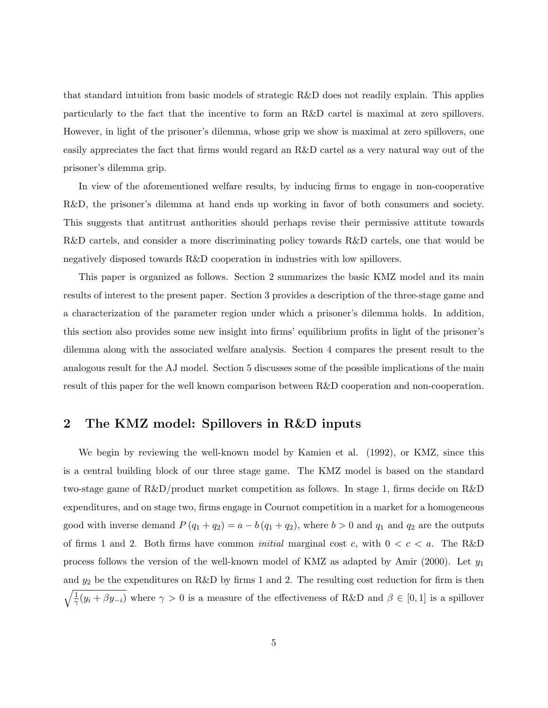that standard intuition from basic models of strategic R&D does not readily explain. This applies particularly to the fact that the incentive to form an R&D cartel is maximal at zero spillovers. However, in light of the prisoner's dilemma, whose grip we show is maximal at zero spillovers, one easily appreciates the fact that firms would regard an R&D cartel as a very natural way out of the prisoner's dilemma grip.

In view of the aforementioned welfare results, by inducing firms to engage in non-cooperative R&D, the prisoner's dilemma at hand ends up working in favor of both consumers and society. This suggests that antitrust authorities should perhaps revise their permissive attitute towards R&D cartels, and consider a more discriminating policy towards R&D cartels, one that would be negatively disposed towards R&D cooperation in industries with low spillovers.

This paper is organized as follows. Section 2 summarizes the basic KMZ model and its main results of interest to the present paper. Section 3 provides a description of the three-stage game and a characterization of the parameter region under which a prisoner's dilemma holds. In addition, this section also provides some new insight into firms' equilibrium profits in light of the prisoner's dilemma along with the associated welfare analysis. Section 4 compares the present result to the analogous result for the AJ model. Section 5 discusses some of the possible implications of the main result of this paper for the well known comparison between R&D cooperation and non-cooperation.

## 2 The KMZ model: Spillovers in R&D inputs

We begin by reviewing the well-known model by Kamien et al. (1992), or KMZ, since this is a central building block of our three stage game. The KMZ model is based on the standard two-stage game of R&D/product market competition as follows. In stage 1, firms decide on R&D expenditures, and on stage two, firms engage in Cournot competition in a market for a homogeneous good with inverse demand  $P(q_1 + q_2) = a - b(q_1 + q_2)$ , where  $b > 0$  and  $q_1$  and  $q_2$  are the outputs of firms 1 and 2. Both firms have common *initial* marginal cost c, with  $0 < c < a$ . The R&D process follows the version of the well-known model of KMZ as adapted by Amir (2000). Let  $y_1$ and  $y_2$  be the expenditures on R&D by firms 1 and 2. The resulting cost reduction for firm is then  $\sqrt{\frac{1}{\gamma}(y_i + \beta y_{-i})}$  where  $\gamma > 0$  is a measure of the effectiveness of R&D and  $\beta \in [0,1]$  is a spillover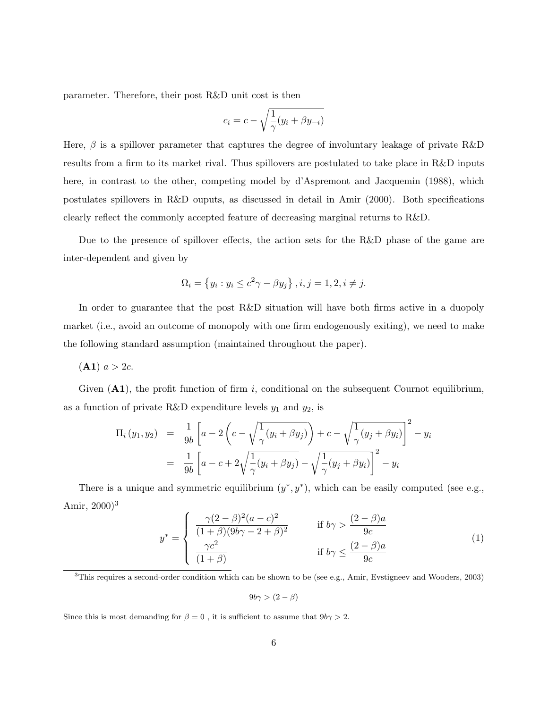parameter. Therefore, their post R&D unit cost is then

$$
c_i = c - \sqrt{\frac{1}{\gamma}(y_i + \beta y_{-i})}
$$

Here,  $\beta$  is a spillover parameter that captures the degree of involuntary leakage of private R&D results from a firm to its market rival. Thus spillovers are postulated to take place in R&D inputs here, in contrast to the other, competing model by d'Aspremont and Jacquemin (1988), which postulates spillovers in R&D ouputs, as discussed in detail in Amir (2000). Both specifications clearly reflect the commonly accepted feature of decreasing marginal returns to R&D.

Due to the presence of spillover effects, the action sets for the R&D phase of the game are inter-dependent and given by

$$
\Omega_i = \left\{ y_i : y_i \le c^2 \gamma - \beta y_j \right\}, i, j = 1, 2, i \ne j.
$$

In order to guarantee that the post R&D situation will have both firms active in a duopoly market (i.e., avoid an outcome of monopoly with one firm endogenously exiting), we need to make the following standard assumption (maintained throughout the paper).

 $(A1)$   $a > 2c$ .

Given  $(A1)$ , the profit function of firm i, conditional on the subsequent Cournot equilibrium, as a function of private R&D expenditure levels  $y_1$  and  $y_2$ , is

$$
\Pi_i(y_1, y_2) = \frac{1}{9b} \left[ a - 2 \left( c - \sqrt{\frac{1}{\gamma} (y_i + \beta y_j)} \right) + c - \sqrt{\frac{1}{\gamma} (y_j + \beta y_i)} \right]^2 - y_i
$$
  
= 
$$
\frac{1}{9b} \left[ a - c + 2 \sqrt{\frac{1}{\gamma} (y_i + \beta y_j)} - \sqrt{\frac{1}{\gamma} (y_j + \beta y_i)} \right]^2 - y_i
$$

There is a unique and symmetric equilibrium  $(y^*, y^*)$ , which can be easily computed (see e.g., Amir,  $2000$ <sup>3</sup>

$$
y^* = \begin{cases} \frac{\gamma(2-\beta)^2(a-c)^2}{(1+\beta)(9b\gamma-2+\beta)^2} & \text{if } b\gamma > \frac{(2-\beta)a}{9c} \\ \frac{\gamma c^2}{(1+\beta)} & \text{if } b\gamma \le \frac{(2-\beta)a}{9c} \end{cases}
$$
(1)

 $3$ This requires a second-order condition which can be shown to be (see e.g., Amir, Evstigneev and Wooders, 2003)

 $9b\gamma > (2 - \beta)$ 

Since this is most demanding for  $\beta = 0$ , it is sufficient to assume that  $9b\gamma > 2$ .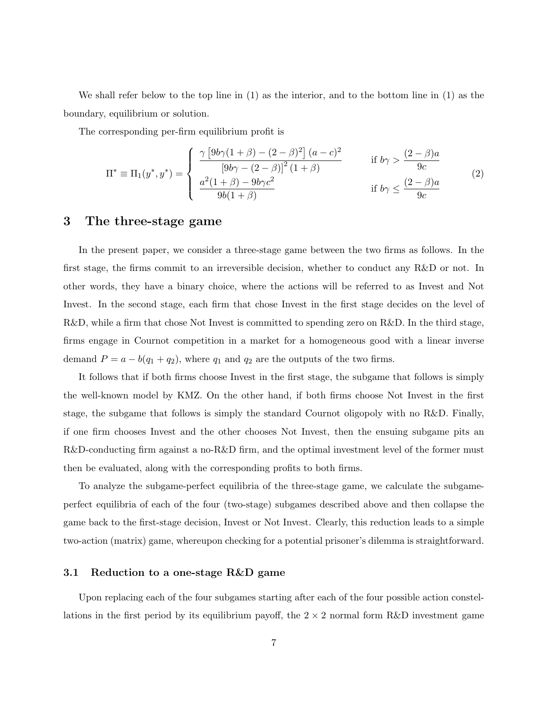We shall refer below to the top line in (1) as the interior, and to the bottom line in (1) as the boundary, equilibrium or solution.

The corresponding per-firm equilibrium profit is

$$
\Pi^* \equiv \Pi_1(y^*, y^*) = \begin{cases} \frac{\gamma [9b\gamma(1+\beta) - (2-\beta)^2] (a-c)^2}{[9b\gamma - (2-\beta)]^2 (1+\beta)} & \text{if } b\gamma > \frac{(2-\beta)a}{9c} \\ \frac{a^2(1+\beta) - 9b\gamma c^2}{9b(1+\beta)} & \text{if } b\gamma \le \frac{(2-\beta)a}{9c} \end{cases}
$$
(2)

## 3 The three-stage game

In the present paper, we consider a three-stage game between the two firms as follows. In the first stage, the firms commit to an irreversible decision, whether to conduct any R&D or not. In other words, they have a binary choice, where the actions will be referred to as Invest and Not Invest. In the second stage, each firm that chose Invest in the first stage decides on the level of R&D, while a firm that chose Not Invest is committed to spending zero on R&D. In the third stage, firms engage in Cournot competition in a market for a homogeneous good with a linear inverse demand  $P = a - b(q_1 + q_2)$ , where  $q_1$  and  $q_2$  are the outputs of the two firms.

It follows that if both firms choose Invest in the first stage, the subgame that follows is simply the well-known model by KMZ. On the other hand, if both firms choose Not Invest in the first stage, the subgame that follows is simply the standard Cournot oligopoly with no R&D. Finally, if one firm chooses Invest and the other chooses Not Invest, then the ensuing subgame pits an R&D-conducting firm against a no-R&D firm, and the optimal investment level of the former must then be evaluated, along with the corresponding profits to both firms.

To analyze the subgame-perfect equilibria of the three-stage game, we calculate the subgameperfect equilibria of each of the four (two-stage) subgames described above and then collapse the game back to the first-stage decision, Invest or Not Invest. Clearly, this reduction leads to a simple two-action (matrix) game, whereupon checking for a potential prisoner's dilemma is straightforward.

#### 3.1 Reduction to a one-stage R&D game

Upon replacing each of the four subgames starting after each of the four possible action constellations in the first period by its equilibrium payoff, the  $2 \times 2$  normal form R&D investment game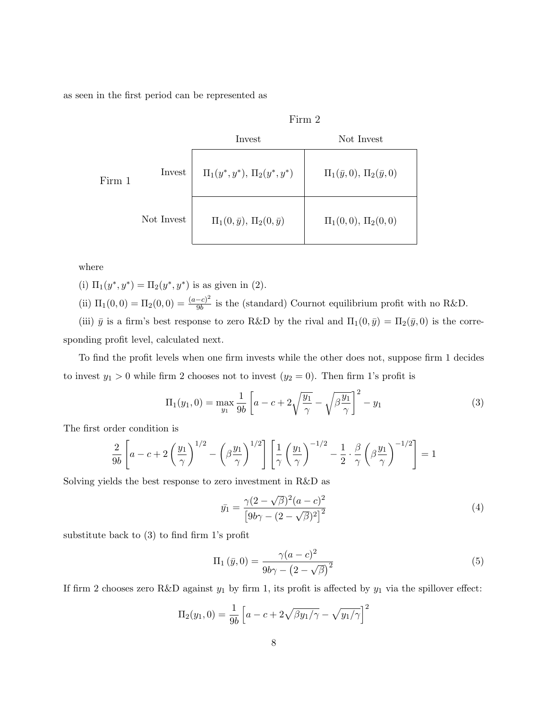as seen in the first period can be represented as

|        |            | Firm 2                               |                                      |
|--------|------------|--------------------------------------|--------------------------------------|
|        |            | Invest                               | Not Invest                           |
| Firm 1 | Invest     | $\Pi_1(y^*, y^*), \Pi_2(y^*, y^*)$   | $\Pi_1(\bar{y},0), \Pi_2(\bar{y},0)$ |
|        | Not Invest | $\Pi_1(0,\bar{y}), \Pi_2(0,\bar{y})$ | $\Pi_1(0,0), \Pi_2(0,0)$             |

where

(i)  $\Pi_1(y^*, y^*) = \Pi_2(y^*, y^*)$  is as given in (2).

(ii)  $\Pi_1(0,0) = \Pi_2(0,0) = \frac{(a-c)^2}{9b}$  $\frac{-c}{9b}$  is the (standard) Cournot equilibrium profit with no R&D.

(iii)  $\bar{y}$  is a firm's best response to zero R&D by the rival and  $\Pi_1(0,\bar{y}) = \Pi_2(\bar{y},0)$  is the corresponding profit level, calculated next.

To find the profit levels when one firm invests while the other does not, suppose firm 1 decides to invest  $y_1 > 0$  while firm 2 chooses not to invest  $(y_2 = 0)$ . Then firm 1's profit is

$$
\Pi_1(y_1, 0) = \max_{y_1} \frac{1}{9b} \left[ a - c + 2\sqrt{\frac{y_1}{\gamma}} - \sqrt{\beta \frac{y_1}{\gamma}} \right]^2 - y_1 \tag{3}
$$

The first order condition is

$$
\frac{2}{9b} \left[ a - c + 2 \left( \frac{y_1}{\gamma} \right)^{1/2} - \left( \beta \frac{y_1}{\gamma} \right)^{1/2} \right] \left[ \frac{1}{\gamma} \left( \frac{y_1}{\gamma} \right)^{-1/2} - \frac{1}{2} \cdot \frac{\beta}{\gamma} \left( \beta \frac{y_1}{\gamma} \right)^{-1/2} \right] = 1
$$

Solving yields the best response to zero investment in R&D as

$$
\bar{y}_1 = \frac{\gamma (2 - \sqrt{\beta})^2 (a - c)^2}{[9b\gamma - (2 - \sqrt{\beta})^2]^2}
$$
\n(4)

substitute back to (3) to find firm 1's profit

$$
\Pi_1\left(\bar{y},0\right) = \frac{\gamma(a-c)^2}{9b\gamma - \left(2-\sqrt{\beta}\right)^2} \tag{5}
$$

If firm 2 chooses zero R&D against  $y_1$  by firm 1, its profit is affected by  $y_1$  via the spillover effect:

$$
\Pi_2(y_1, 0) = \frac{1}{9b} \left[ a - c + 2\sqrt{\beta y_1/\gamma} - \sqrt{y_1/\gamma} \right]^2
$$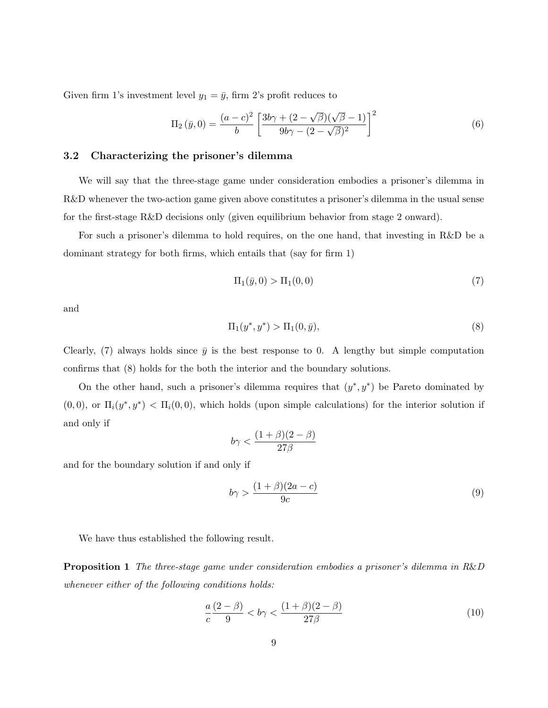Given firm 1's investment level  $y_1 = \bar{y}$ , firm 2's profit reduces to

$$
\Pi_2(\bar{y},0) = \frac{(a-c)^2}{b} \left[ \frac{3b\gamma + (2-\sqrt{\beta})(\sqrt{\beta}-1)}{9b\gamma - (2-\sqrt{\beta})^2} \right]^2 \tag{6}
$$

#### 3.2 Characterizing the prisoner's dilemma

We will say that the three-stage game under consideration embodies a prisoner's dilemma in R&D whenever the two-action game given above constitutes a prisoner's dilemma in the usual sense for the first-stage R&D decisions only (given equilibrium behavior from stage 2 onward).

For such a prisoner's dilemma to hold requires, on the one hand, that investing in R&D be a dominant strategy for both firms, which entails that (say for firm 1)

$$
\Pi_1(\bar{y},0) > \Pi_1(0,0) \tag{7}
$$

and

$$
\Pi_1(y^*, y^*) > \Pi_1(0, \bar{y}),\tag{8}
$$

Clearly, (7) always holds since  $\bar{y}$  is the best response to 0. A lengthy but simple computation confirms that (8) holds for the both the interior and the boundary solutions.

On the other hand, such a prisoner's dilemma requires that  $(y^*, y^*)$  be Pareto dominated by  $(0,0)$ , or  $\Pi_i(y^*,y^*) < \Pi_i(0,0)$ , which holds (upon simple calculations) for the interior solution if and only if

$$
b\gamma < \frac{(1+\beta)(2-\beta)}{27\beta}
$$

and for the boundary solution if and only if

$$
b\gamma > \frac{(1+\beta)(2a-c)}{9c} \tag{9}
$$

We have thus established the following result.

**Proposition 1** The three-stage game under consideration embodies a prisoner's dilemma in R&D whenever either of the following conditions holds:

$$
\frac{a}{c}\frac{(2-\beta)}{9} < b\gamma < \frac{(1+\beta)(2-\beta)}{27\beta} \tag{10}
$$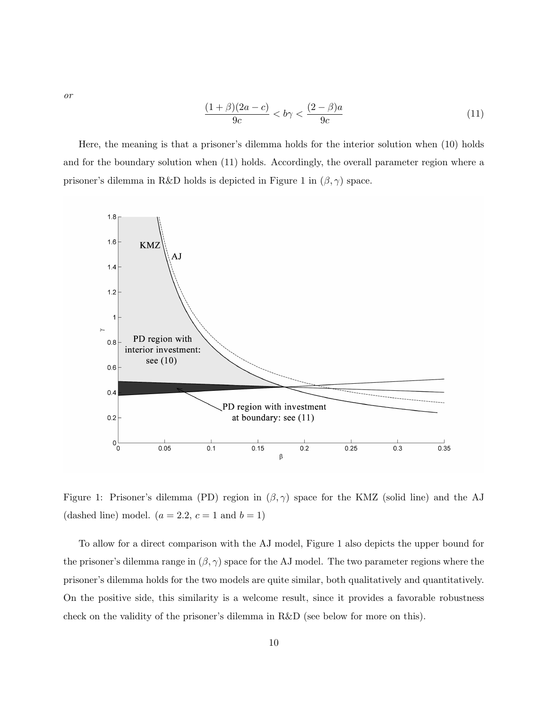$$
\frac{(1+\beta)(2a-c)}{9c} < b\gamma < \frac{(2-\beta)a}{9c} \tag{11}
$$

Here, the meaning is that a prisoner's dilemma holds for the interior solution when (10) holds and for the boundary solution when (11) holds. Accordingly, the overall parameter region where a prisoner's dilemma in R&D holds is depicted in Figure 1 in  $(\beta, \gamma)$  space.



Figure 1: Prisoner's dilemma (PD) region in  $(\beta, \gamma)$  space for the KMZ (solid line) and the AJ (dashed line) model.  $(a = 2.2, c = 1 \text{ and } b = 1)$ 

To allow for a direct comparison with the AJ model, Figure 1 also depicts the upper bound for the prisoner's dilemma range in  $(\beta, \gamma)$  space for the AJ model. The two parameter regions where the prisoner's dilemma holds for the two models are quite similar, both qualitatively and quantitatively. On the positive side, this similarity is a welcome result, since it provides a favorable robustness check on the validity of the prisoner's dilemma in R&D (see below for more on this).

or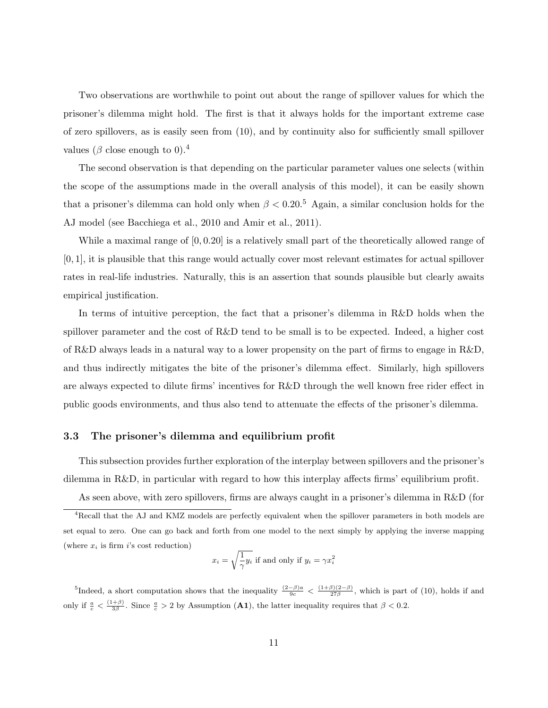Two observations are worthwhile to point out about the range of spillover values for which the prisoner's dilemma might hold. The first is that it always holds for the important extreme case of zero spillovers, as is easily seen from (10), and by continuity also for sufficiently small spillover values ( $\beta$  close enough to 0).<sup>4</sup>

The second observation is that depending on the particular parameter values one selects (within the scope of the assumptions made in the overall analysis of this model), it can be easily shown that a prisoner's dilemma can hold only when  $\beta < 0.20$ .<sup>5</sup> Again, a similar conclusion holds for the AJ model (see Bacchiega et al., 2010 and Amir et al., 2011).

While a maximal range of  $[0, 0.20]$  is a relatively small part of the theoretically allowed range of [0, 1], it is plausible that this range would actually cover most relevant estimates for actual spillover rates in real-life industries. Naturally, this is an assertion that sounds plausible but clearly awaits empirical justification.

In terms of intuitive perception, the fact that a prisoner's dilemma in R&D holds when the spillover parameter and the cost of R&D tend to be small is to be expected. Indeed, a higher cost of R&D always leads in a natural way to a lower propensity on the part of firms to engage in R&D, and thus indirectly mitigates the bite of the prisoner's dilemma effect. Similarly, high spillovers are always expected to dilute firms' incentives for R&D through the well known free rider effect in public goods environments, and thus also tend to attenuate the effects of the prisoner's dilemma.

#### 3.3 The prisoner's dilemma and equilibrium profit

This subsection provides further exploration of the interplay between spillovers and the prisoner's dilemma in R&D, in particular with regard to how this interplay affects firms' equilibrium profit.

As seen above, with zero spillovers, firms are always caught in a prisoner's dilemma in R&D (for

$$
x_i = \sqrt{\frac{1}{\gamma} y_i}
$$
 if and only if  $y_i = \gamma x_i^2$ 

<sup>5</sup>Indeed, a short computation shows that the inequality  $\frac{(2-\beta)a}{9c} < \frac{(1+\beta)(2-\beta)}{27\beta}$ , which is part of (10), holds if and only if  $\frac{a}{c} < \frac{(1+\beta)}{3\beta}$ . Since  $\frac{a}{c} > 2$  by Assumption (A1), the latter inequality requires that  $\beta < 0.2$ .

<sup>4</sup>Recall that the AJ and KMZ models are perfectly equivalent when the spillover parameters in both models are set equal to zero. One can go back and forth from one model to the next simply by applying the inverse mapping (where  $x_i$  is firm i's cost reduction)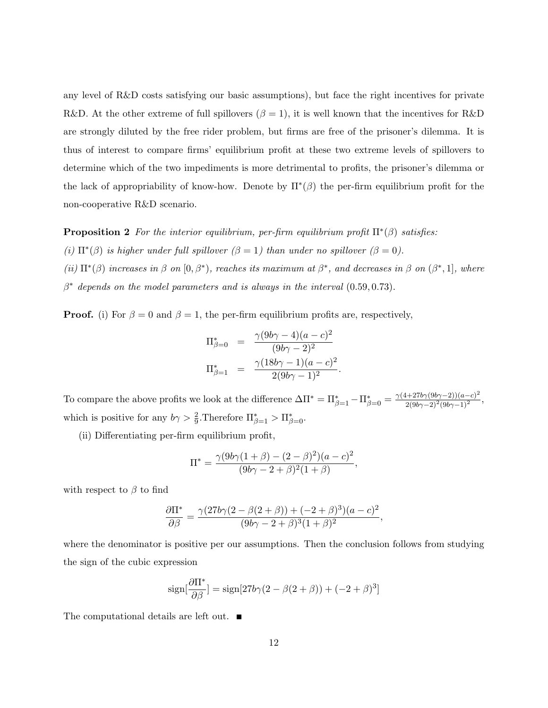any level of R&D costs satisfying our basic assumptions), but face the right incentives for private R&D. At the other extreme of full spillovers  $(\beta = 1)$ , it is well known that the incentives for R&D are strongly diluted by the free rider problem, but firms are free of the prisoner's dilemma. It is thus of interest to compare firms' equilibrium profit at these two extreme levels of spillovers to determine which of the two impediments is more detrimental to profits, the prisoner's dilemma or the lack of appropriability of know-how. Denote by  $\Pi^*(\beta)$  the per-firm equilibrium profit for the non-cooperative R&D scenario.

## **Proposition 2** For the interior equilibrium, per-firm equilibrium profit  $\Pi^*(\beta)$  satisfies:

(i)  $\Pi^*(\beta)$  is higher under full spillover  $(\beta = 1)$  than under no spillover  $(\beta = 0)$ .

(ii)  $\Pi^*(\beta)$  increases in  $\beta$  on  $[0,\beta^*)$ , reaches its maximum at  $\beta^*$ , and decreases in  $\beta$  on  $(\beta^*,1]$ , where  $\beta^*$  depends on the model parameters and is always in the interval  $(0.59, 0.73)$ .

**Proof.** (i) For  $\beta = 0$  and  $\beta = 1$ , the per-firm equilibrium profits are, respectively,

$$
\Pi_{\beta=0}^{*} = \frac{\gamma (9b\gamma - 4)(a - c)^{2}}{(9b\gamma - 2)^{2}}
$$

$$
\Pi_{\beta=1}^{*} = \frac{\gamma (18b\gamma - 1)(a - c)^{2}}{2(9b\gamma - 1)^{2}}.
$$

To compare the above profits we look at the difference  $\Delta \Pi^* = \Pi^*_{\beta=1} - \Pi^*_{\beta=0} = \frac{\gamma (4+27b\gamma (9b\gamma-2))(a-c)^2}{2(9b\gamma-1)^2}$  $\frac{2(9b\gamma-2)^2(9b\gamma-1)^2}{2(9b\gamma-2)^2(9b\gamma-1)^2},$ which is positive for any  $b\gamma > \frac{2}{9}$ . Therefore  $\Pi_{\beta=1}^* > \Pi_{\beta=0}^*$ .

(ii) Differentiating per-firm equilibrium profit,

$$
\Pi^* = \frac{\gamma(9b\gamma(1+\beta) - (2-\beta)^2)(a-c)^2}{(9b\gamma - 2 + \beta)^2(1+\beta)},
$$

with respect to  $\beta$  to find

$$
\frac{\partial \Pi^*}{\partial \beta} = \frac{\gamma (27b\gamma(2 - \beta(2 + \beta)) + (-2 + \beta)^3)(a - c)^2}{(9b\gamma - 2 + \beta)^3(1 + \beta)^2},
$$

where the denominator is positive per our assumptions. Then the conclusion follows from studying the sign of the cubic expression

$$
\text{sign}[\frac{\partial \Pi^*}{\partial \beta}] = \text{sign}[27b\gamma(2-\beta(2+\beta)) + (-2+\beta)^3]
$$

The computational details are left out.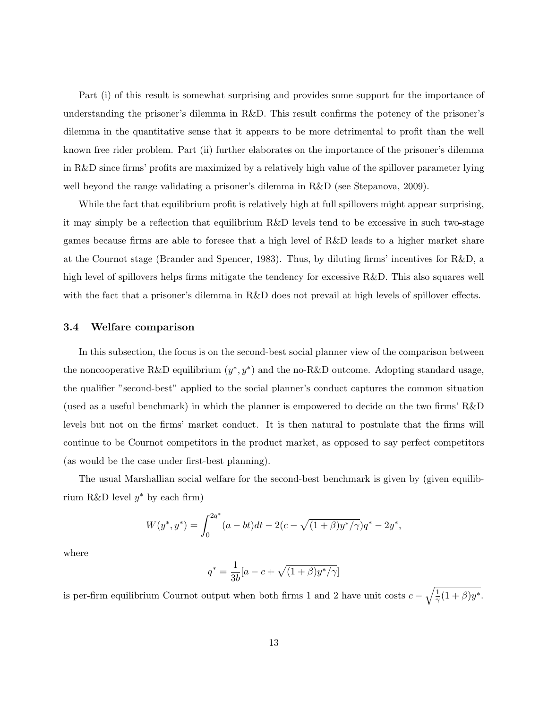Part (i) of this result is somewhat surprising and provides some support for the importance of understanding the prisoner's dilemma in R&D. This result confirms the potency of the prisoner's dilemma in the quantitative sense that it appears to be more detrimental to profit than the well known free rider problem. Part (ii) further elaborates on the importance of the prisoner's dilemma in R&D since firms' profits are maximized by a relatively high value of the spillover parameter lying well beyond the range validating a prisoner's dilemma in R&D (see Stepanova, 2009).

While the fact that equilibrium profit is relatively high at full spillovers might appear surprising, it may simply be a reflection that equilibrium R&D levels tend to be excessive in such two-stage games because firms are able to foresee that a high level of R&D leads to a higher market share at the Cournot stage (Brander and Spencer, 1983). Thus, by diluting firms' incentives for R&D, a high level of spillovers helps firms mitigate the tendency for excessive R&D. This also squares well with the fact that a prisoner's dilemma in R&D does not prevail at high levels of spillover effects.

#### 3.4 Welfare comparison

In this subsection, the focus is on the second-best social planner view of the comparison between the noncooperative R&D equilibrium  $(y^*, y^*)$  and the no-R&D outcome. Adopting standard usage, the qualifier "second-best" applied to the social planner's conduct captures the common situation (used as a useful benchmark) in which the planner is empowered to decide on the two firms' R&D levels but not on the firms' market conduct. It is then natural to postulate that the firms will continue to be Cournot competitors in the product market, as opposed to say perfect competitors (as would be the case under first-best planning).

The usual Marshallian social welfare for the second-best benchmark is given by (given equilibrium R&D level  $y^*$  by each firm)

$$
W(y^*, y^*) = \int_0^{2q^*} (a - bt)dt - 2(c - \sqrt{(1+\beta)y^* / \gamma})q^* - 2y^*,
$$

where

$$
q^* = \frac{1}{3b} [a - c + \sqrt{(1 + \beta)y^* / \gamma}]
$$

is per-firm equilibrium Cournot output when both firms 1 and 2 have unit costs  $c - \sqrt{\frac{1}{\gamma}(1+\beta)y^*}$ .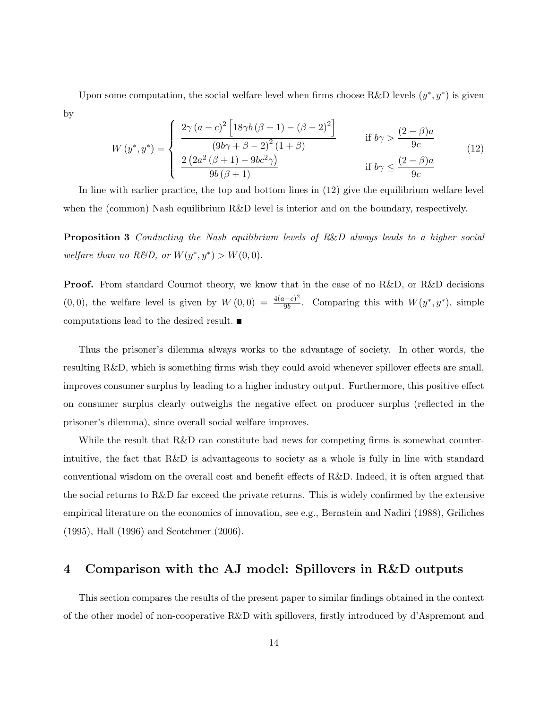Upon some computation, the social welfare level when firms choose R&D levels  $(y^*, y^*)$  is given by

$$
W(y^*, y^*) = \begin{cases} \frac{2\gamma (a-c)^2 \left[18\gamma b (\beta + 1) - (\beta - 2)^2\right]}{(9b\gamma + \beta - 2)^2 (1 + \beta)} & \text{if } b\gamma > \frac{(2 - \beta)a}{9c} \\ \frac{2 \left(2a^2 (\beta + 1) - 9bc^2 \gamma\right)}{9b (\beta + 1)} & \text{if } b\gamma \le \frac{(2 - \beta)a}{9c} \end{cases}
$$
(12)

In line with earlier practice, the top and bottom lines in (12) give the equilibrium welfare level when the (common) Nash equilibrium R&D level is interior and on the boundary, respectively.

**Proposition 3** Conducting the Nash equilibrium levels of R&D always leads to a higher social welfare than no  $R\&D$ , or  $W(y^*, y^*) > W(0, 0)$ .

**Proof.** From standard Cournot theory, we know that in the case of no R&D, or R&D decisions  $(0, 0)$ , the welfare level is given by  $W(0, 0) = \frac{4(a-c)^2}{9b}$  $\frac{(-c)^2}{9b}$ . Comparing this with  $W(y^*, y^*)$ , simple computations lead to the desired result.

Thus the prisoner's dilemma always works to the advantage of society. In other words, the resulting R&D, which is something firms wish they could avoid whenever spillover effects are small, improves consumer surplus by leading to a higher industry output. Furthermore, this positive effect on consumer surplus clearly outweighs the negative effect on producer surplus (reflected in the prisoner's dilemma), since overall social welfare improves.

While the result that R&D can constitute bad news for competing firms is somewhat counterintuitive, the fact that R&D is advantageous to society as a whole is fully in line with standard conventional wisdom on the overall cost and benefit effects of R&D. Indeed, it is often argued that the social returns to R&D far exceed the private returns. This is widely confirmed by the extensive empirical literature on the economics of innovation, see e.g., Bernstein and Nadiri (1988), Griliches (1995), Hall (1996) and Scotchmer (2006).

## 4 Comparison with the AJ model: Spillovers in R&D outputs

This section compares the results of the present paper to similar findings obtained in the context of the other model of non-cooperative R&D with spillovers, firstly introduced by d'Aspremont and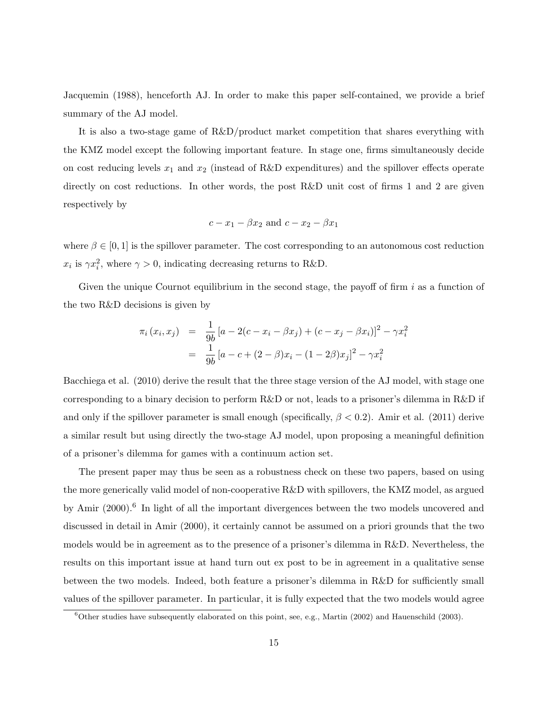Jacquemin (1988), henceforth AJ. In order to make this paper self-contained, we provide a brief summary of the AJ model.

It is also a two-stage game of R&D/product market competition that shares everything with the KMZ model except the following important feature. In stage one, firms simultaneously decide on cost reducing levels  $x_1$  and  $x_2$  (instead of R&D expenditures) and the spillover effects operate directly on cost reductions. In other words, the post R&D unit cost of firms 1 and 2 are given respectively by

$$
c - x_1 - \beta x_2
$$
 and 
$$
c - x_2 - \beta x_1
$$

where  $\beta \in [0, 1]$  is the spillover parameter. The cost corresponding to an autonomous cost reduction  $x_i$  is  $\gamma x_i^2$ , where  $\gamma > 0$ , indicating decreasing returns to R&D.

Given the unique Cournot equilibrium in the second stage, the payoff of firm i as a function of the two R&D decisions is given by

$$
\pi_i(x_i, x_j) = \frac{1}{9b} [a - 2(c - x_i - \beta x_j) + (c - x_j - \beta x_i)]^2 - \gamma x_i^2
$$
  
= 
$$
\frac{1}{9b} [a - c + (2 - \beta)x_i - (1 - 2\beta)x_j]^2 - \gamma x_i^2
$$

Bacchiega et al. (2010) derive the result that the three stage version of the AJ model, with stage one corresponding to a binary decision to perform R&D or not, leads to a prisoner's dilemma in R&D if and only if the spillover parameter is small enough (specifically,  $\beta$  < 0.2). Amir et al. (2011) derive a similar result but using directly the two-stage AJ model, upon proposing a meaningful definition of a prisoner's dilemma for games with a continuum action set.

The present paper may thus be seen as a robustness check on these two papers, based on using the more generically valid model of non-cooperative R&D with spillovers, the KMZ model, as argued by Amir (2000).<sup>6</sup> In light of all the important divergences between the two models uncovered and discussed in detail in Amir (2000), it certainly cannot be assumed on a priori grounds that the two models would be in agreement as to the presence of a prisoner's dilemma in R&D. Nevertheless, the results on this important issue at hand turn out ex post to be in agreement in a qualitative sense between the two models. Indeed, both feature a prisoner's dilemma in R&D for sufficiently small values of the spillover parameter. In particular, it is fully expected that the two models would agree

 $6$ Other studies have subsequently elaborated on this point, see, e.g., Martin (2002) and Hauenschild (2003).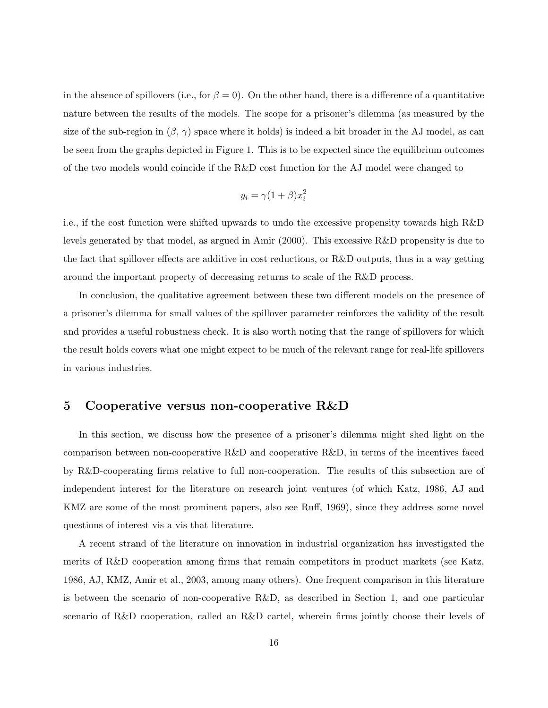in the absence of spillovers (i.e., for  $\beta = 0$ ). On the other hand, there is a difference of a quantitative nature between the results of the models. The scope for a prisoner's dilemma (as measured by the size of the sub-region in  $(\beta, \gamma)$  space where it holds) is indeed a bit broader in the AJ model, as can be seen from the graphs depicted in Figure 1. This is to be expected since the equilibrium outcomes of the two models would coincide if the R&D cost function for the AJ model were changed to

$$
y_i = \gamma (1 + \beta) x_i^2
$$

i.e., if the cost function were shifted upwards to undo the excessive propensity towards high R&D levels generated by that model, as argued in Amir (2000). This excessive R&D propensity is due to the fact that spillover effects are additive in cost reductions, or R&D outputs, thus in a way getting around the important property of decreasing returns to scale of the R&D process.

In conclusion, the qualitative agreement between these two different models on the presence of a prisoner's dilemma for small values of the spillover parameter reinforces the validity of the result and provides a useful robustness check. It is also worth noting that the range of spillovers for which the result holds covers what one might expect to be much of the relevant range for real-life spillovers in various industries.

## 5 Cooperative versus non-cooperative R&D

In this section, we discuss how the presence of a prisoner's dilemma might shed light on the comparison between non-cooperative R&D and cooperative R&D, in terms of the incentives faced by R&D-cooperating firms relative to full non-cooperation. The results of this subsection are of independent interest for the literature on research joint ventures (of which Katz, 1986, AJ and KMZ are some of the most prominent papers, also see Ruff, 1969), since they address some novel questions of interest vis a vis that literature.

A recent strand of the literature on innovation in industrial organization has investigated the merits of R&D cooperation among firms that remain competitors in product markets (see Katz, 1986, AJ, KMZ, Amir et al., 2003, among many others). One frequent comparison in this literature is between the scenario of non-cooperative R&D, as described in Section 1, and one particular scenario of R&D cooperation, called an R&D cartel, wherein firms jointly choose their levels of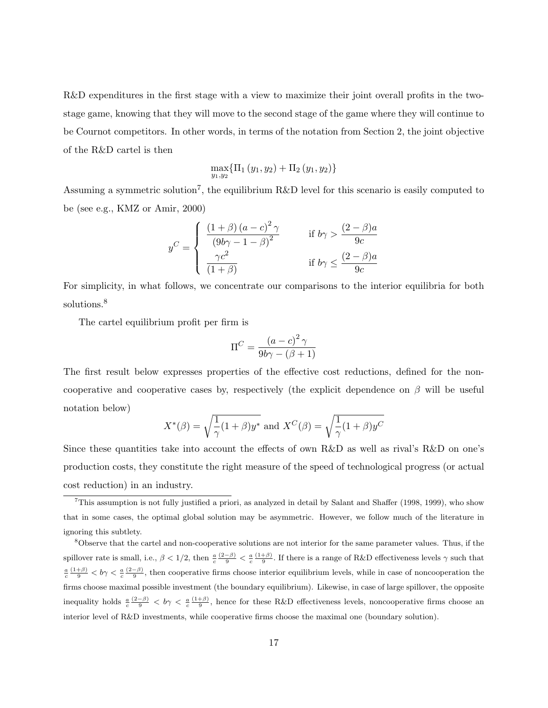R&D expenditures in the first stage with a view to maximize their joint overall profits in the twostage game, knowing that they will move to the second stage of the game where they will continue to be Cournot competitors. In other words, in terms of the notation from Section 2, the joint objective of the R&D cartel is then

$$
\max_{y_1,y_2} \{\Pi_1(y_1,y_2) + \Pi_2(y_1,y_2)\}\
$$

Assuming a symmetric solution<sup>7</sup>, the equilibrium R&D level for this scenario is easily computed to be (see e.g., KMZ or Amir, 2000)

$$
y^{C} = \begin{cases} \frac{(1+\beta)(a-c)^{2}\gamma}{(9b\gamma - 1 - \beta)^{2}} & \text{if } b\gamma > \frac{(2-\beta)a}{9c} \\ \frac{\gamma c^{2}}{(1+\beta)} & \text{if } b\gamma \leq \frac{(2-\beta)a}{9c} \end{cases}
$$

For simplicity, in what follows, we concentrate our comparisons to the interior equilibria for both solutions.<sup>8</sup>

The cartel equilibrium profit per firm is

$$
\Pi^C = \frac{(a-c)^2 \gamma}{9b\gamma - (\beta + 1)}
$$

The first result below expresses properties of the effective cost reductions, defined for the noncooperative and cooperative cases by, respectively (the explicit dependence on  $\beta$  will be useful notation below)

$$
X^*(\beta) = \sqrt{\frac{1}{\gamma}(1+\beta)y^*}
$$
 and 
$$
X^C(\beta) = \sqrt{\frac{1}{\gamma}(1+\beta)y^C}
$$

Since these quantities take into account the effects of own R&D as well as rival's R&D on one's production costs, they constitute the right measure of the speed of technological progress (or actual cost reduction) in an industry.

<sup>7</sup>This assumption is not fully justified a priori, as analyzed in detail by Salant and Shaffer (1998, 1999), who show that in some cases, the optimal global solution may be asymmetric. However, we follow much of the literature in ignoring this subtlety.

<sup>8</sup>Observe that the cartel and non-cooperative solutions are not interior for the same parameter values. Thus, if the spillover rate is small, i.e.,  $\beta < 1/2$ , then  $\frac{a}{c} \frac{(2-\beta)}{9} < \frac{a}{c} \frac{(1+\beta)}{9}$ . If there is a range of R&D effectiveness levels  $\gamma$  such that  $\frac{a}{c} \frac{(1+\beta)}{9} < b\gamma < \frac{a}{c} \frac{(2-\beta)}{9}$ , then cooperative firms choose interior equilibrium levels, while in case of noncooperation the firms choose maximal possible investment (the boundary equilibrium). Likewise, in case of large spillover, the opposite inequality holds  $\frac{a}{c} \frac{(2-\beta)}{9} < b\gamma < \frac{a}{c} \frac{(1+\beta)}{9}$ , hence for these R&D effectiveness levels, noncooperative firms choose an interior level of R&D investments, while cooperative firms choose the maximal one (boundary solution).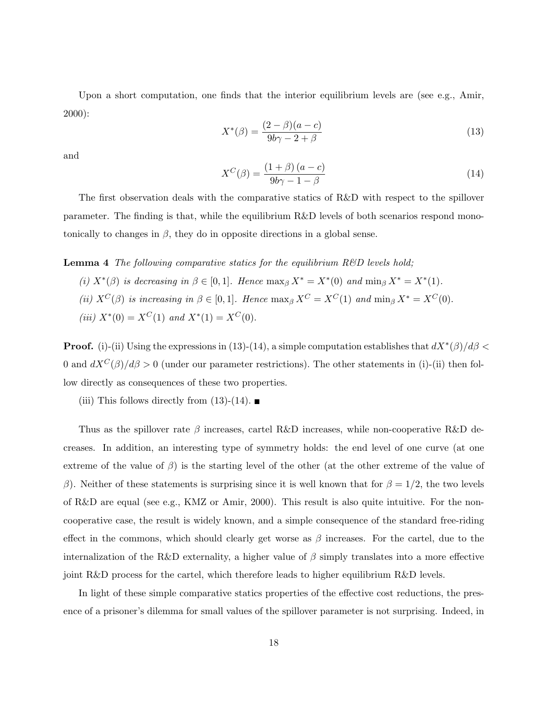Upon a short computation, one finds that the interior equilibrium levels are (see e.g., Amir, 2000):

$$
X^*(\beta) = \frac{(2-\beta)(a-c)}{9b\gamma - 2 + \beta} \tag{13}
$$

and

$$
X^{C}(\beta) = \frac{(1+\beta)(a-c)}{9b\gamma - 1 - \beta} \tag{14}
$$

The first observation deals with the comparative statics of R&D with respect to the spillover parameter. The finding is that, while the equilibrium R&D levels of both scenarios respond monotonically to changes in  $\beta$ , they do in opposite directions in a global sense.

#### **Lemma 4** The following comparative statics for the equilibrium  $R\ddot{\otimes}D$  levels hold;

(i)  $X^*(\beta)$  is decreasing in  $\beta \in [0,1]$ . Hence  $\max_{\beta} X^* = X^*(0)$  and  $\min_{\beta} X^* = X^*(1)$ . (ii)  $X^C(\beta)$  is increasing in  $\beta \in [0,1]$ . Hence  $\max_{\beta} X^C = X^C(1)$  and  $\min_{\beta} X^* = X^C(0)$ . (iii)  $X^*(0) = X^C(1)$  and  $X^*(1) = X^C(0)$ .

**Proof.** (i)-(ii) Using the expressions in (13)-(14), a simple computation establishes that  $dX^*(\beta)/d\beta$ 0 and  $dX^C(\beta)/d\beta > 0$  (under our parameter restrictions). The other statements in (i)-(ii) then follow directly as consequences of these two properties.

(iii) This follows directly from  $(13)-(14)$ .

Thus as the spillover rate  $\beta$  increases, cartel R&D increases, while non-cooperative R&D decreases. In addition, an interesting type of symmetry holds: the end level of one curve (at one extreme of the value of  $\beta$ ) is the starting level of the other (at the other extreme of the value of β). Neither of these statements is surprising since it is well known that for  $β = 1/2$ , the two levels of R&D are equal (see e.g., KMZ or Amir, 2000). This result is also quite intuitive. For the noncooperative case, the result is widely known, and a simple consequence of the standard free-riding effect in the commons, which should clearly get worse as  $\beta$  increases. For the cartel, due to the internalization of the R&D externality, a higher value of  $\beta$  simply translates into a more effective joint R&D process for the cartel, which therefore leads to higher equilibrium R&D levels.

In light of these simple comparative statics properties of the effective cost reductions, the presence of a prisoner's dilemma for small values of the spillover parameter is not surprising. Indeed, in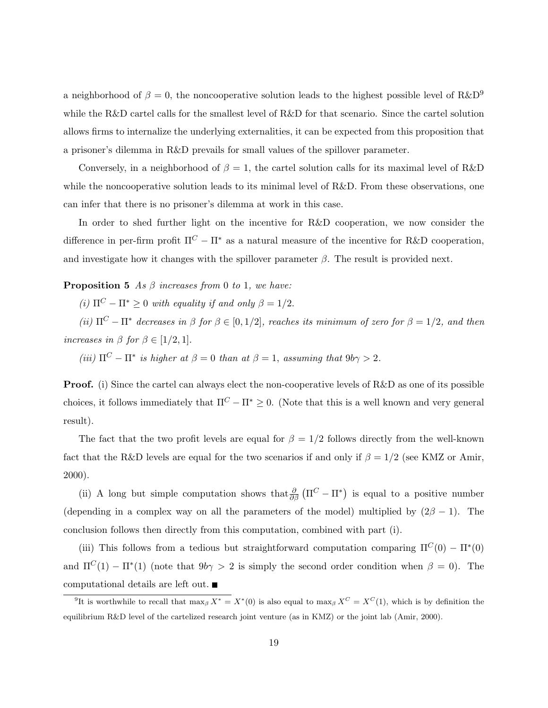a neighborhood of  $\beta = 0$ , the noncooperative solution leads to the highest possible level of R&D<sup>9</sup> while the R&D cartel calls for the smallest level of R&D for that scenario. Since the cartel solution allows firms to internalize the underlying externalities, it can be expected from this proposition that a prisoner's dilemma in R&D prevails for small values of the spillover parameter.

Conversely, in a neighborhood of  $\beta = 1$ , the cartel solution calls for its maximal level of R&D while the noncooperative solution leads to its minimal level of R&D. From these observations, one can infer that there is no prisoner's dilemma at work in this case.

In order to shed further light on the incentive for R&D cooperation, we now consider the difference in per-firm profit  $\Pi^C - \Pi^*$  as a natural measure of the incentive for R&D cooperation, and investigate how it changes with the spillover parameter  $\beta$ . The result is provided next.

**Proposition 5** As  $\beta$  increases from 0 to 1, we have:

(i)  $\Pi^C - \Pi^* \geq 0$  with equality if and only  $\beta = 1/2$ .

(ii)  $\Pi^C - \Pi^*$  decreases in  $\beta$  for  $\beta \in [0, 1/2]$ , reaches its minimum of zero for  $\beta = 1/2$ , and then increases in  $\beta$  for  $\beta \in [1/2, 1]$ .

(iii)  $\Pi^C - \Pi^*$  is higher at  $\beta = 0$  than at  $\beta = 1$ , assuming that  $9b\gamma > 2$ .

**Proof.** (i) Since the cartel can always elect the non-cooperative levels of R&D as one of its possible choices, it follows immediately that  $\Pi^C - \Pi^* \geq 0$ . (Note that this is a well known and very general result).

The fact that the two profit levels are equal for  $\beta = 1/2$  follows directly from the well-known fact that the R&D levels are equal for the two scenarios if and only if  $\beta = 1/2$  (see KMZ or Amir, 2000).

(ii) A long but simple computation shows that  $\frac{\partial}{\partial \beta} (\Pi^C - \Pi^*)$  is equal to a positive number (depending in a complex way on all the parameters of the model) multiplied by  $(2\beta - 1)$ . The conclusion follows then directly from this computation, combined with part (i).

(iii) This follows from a tedious but straightforward computation comparing  $\Pi^C(0) - \Pi^*(0)$ and  $\Pi^{C}(1) - \Pi^{*}(1)$  (note that  $9b\gamma > 2$  is simply the second order condition when  $\beta = 0$ ). The computational details are left out.

<sup>&</sup>lt;sup>9</sup>It is worthwhile to recall that  $\max_{\beta} X^* = X^*(0)$  is also equal to  $\max_{\beta} X^C = X^C(1)$ , which is by definition the equilibrium R&D level of the cartelized research joint venture (as in KMZ) or the joint lab (Amir, 2000).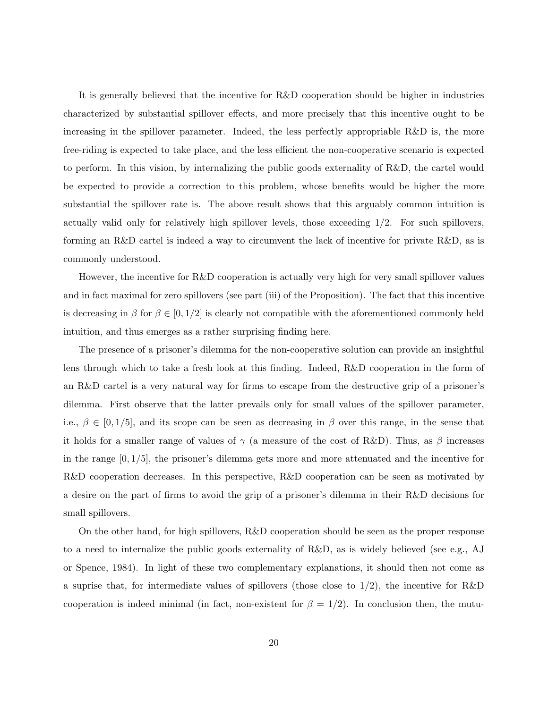It is generally believed that the incentive for R&D cooperation should be higher in industries characterized by substantial spillover effects, and more precisely that this incentive ought to be increasing in the spillover parameter. Indeed, the less perfectly appropriable R&D is, the more free-riding is expected to take place, and the less efficient the non-cooperative scenario is expected to perform. In this vision, by internalizing the public goods externality of R&D, the cartel would be expected to provide a correction to this problem, whose benefits would be higher the more substantial the spillover rate is. The above result shows that this arguably common intuition is actually valid only for relatively high spillover levels, those exceeding 1/2. For such spillovers, forming an R&D cartel is indeed a way to circumvent the lack of incentive for private R&D, as is commonly understood.

However, the incentive for R&D cooperation is actually very high for very small spillover values and in fact maximal for zero spillovers (see part (iii) of the Proposition). The fact that this incentive is decreasing in  $\beta$  for  $\beta \in [0, 1/2]$  is clearly not compatible with the aforementioned commonly held intuition, and thus emerges as a rather surprising finding here.

The presence of a prisoner's dilemma for the non-cooperative solution can provide an insightful lens through which to take a fresh look at this finding. Indeed, R&D cooperation in the form of an R&D cartel is a very natural way for firms to escape from the destructive grip of a prisoner's dilemma. First observe that the latter prevails only for small values of the spillover parameter, i.e.,  $\beta \in [0, 1/5]$ , and its scope can be seen as decreasing in  $\beta$  over this range, in the sense that it holds for a smaller range of values of  $\gamma$  (a measure of the cost of R&D). Thus, as  $\beta$  increases in the range  $[0, 1/5]$ , the prisoner's dilemma gets more and more attenuated and the incentive for R&D cooperation decreases. In this perspective, R&D cooperation can be seen as motivated by a desire on the part of firms to avoid the grip of a prisoner's dilemma in their R&D decisions for small spillovers.

On the other hand, for high spillovers, R&D cooperation should be seen as the proper response to a need to internalize the public goods externality of R&D, as is widely believed (see e.g., AJ or Spence, 1984). In light of these two complementary explanations, it should then not come as a suprise that, for intermediate values of spillovers (those close to  $1/2$ ), the incentive for R&D cooperation is indeed minimal (in fact, non-existent for  $\beta = 1/2$ ). In conclusion then, the mutu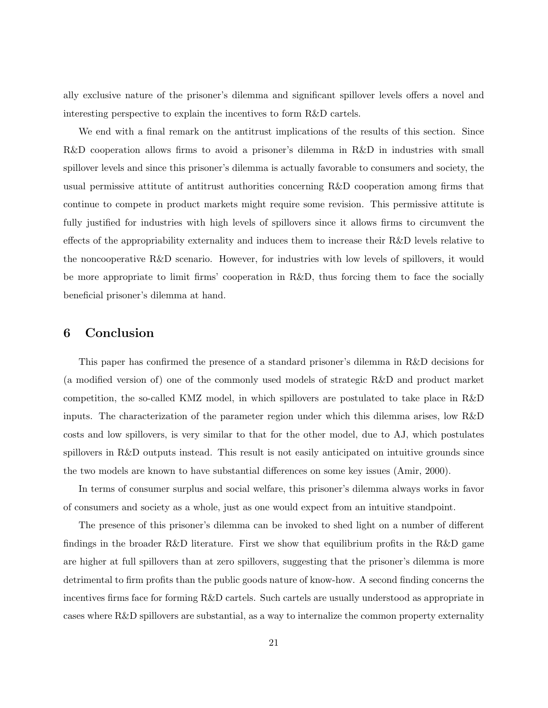ally exclusive nature of the prisoner's dilemma and significant spillover levels offers a novel and interesting perspective to explain the incentives to form R&D cartels.

We end with a final remark on the antitrust implications of the results of this section. Since R&D cooperation allows firms to avoid a prisoner's dilemma in R&D in industries with small spillover levels and since this prisoner's dilemma is actually favorable to consumers and society, the usual permissive attitute of antitrust authorities concerning R&D cooperation among firms that continue to compete in product markets might require some revision. This permissive attitute is fully justified for industries with high levels of spillovers since it allows firms to circumvent the effects of the appropriability externality and induces them to increase their R&D levels relative to the noncooperative R&D scenario. However, for industries with low levels of spillovers, it would be more appropriate to limit firms' cooperation in R&D, thus forcing them to face the socially beneficial prisoner's dilemma at hand.

## 6 Conclusion

This paper has confirmed the presence of a standard prisoner's dilemma in R&D decisions for (a modified version of) one of the commonly used models of strategic R&D and product market competition, the so-called KMZ model, in which spillovers are postulated to take place in R&D inputs. The characterization of the parameter region under which this dilemma arises, low R&D costs and low spillovers, is very similar to that for the other model, due to AJ, which postulates spillovers in R&D outputs instead. This result is not easily anticipated on intuitive grounds since the two models are known to have substantial differences on some key issues (Amir, 2000).

In terms of consumer surplus and social welfare, this prisoner's dilemma always works in favor of consumers and society as a whole, just as one would expect from an intuitive standpoint.

The presence of this prisoner's dilemma can be invoked to shed light on a number of different findings in the broader  $R\&D$  literature. First we show that equilibrium profits in the  $R\&D$  game are higher at full spillovers than at zero spillovers, suggesting that the prisoner's dilemma is more detrimental to firm profits than the public goods nature of know-how. A second finding concerns the incentives firms face for forming R&D cartels. Such cartels are usually understood as appropriate in cases where R&D spillovers are substantial, as a way to internalize the common property externality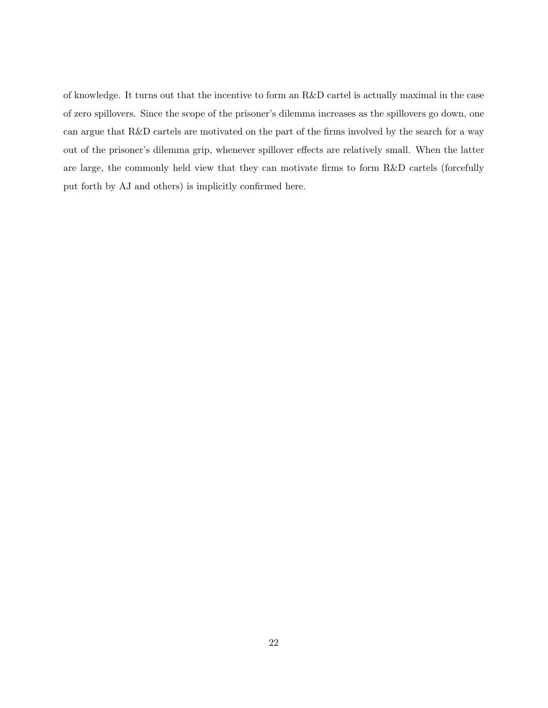of knowledge. It turns out that the incentive to form an R&D cartel is actually maximal in the case of zero spillovers. Since the scope of the prisoner's dilemma increases as the spillovers go down, one can argue that R&D cartels are motivated on the part of the firms involved by the search for a way out of the prisoner's dilemma grip, whenever spillover effects are relatively small. When the latter are large, the commonly held view that they can motivate firms to form R&D cartels (forcefully put forth by AJ and others) is implicitly confirmed here.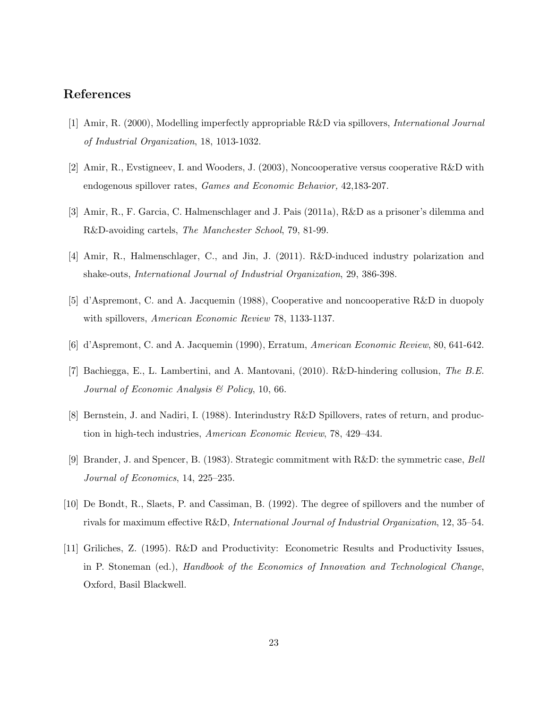## References

- [1] Amir, R. (2000), Modelling imperfectly appropriable R&D via spillovers, International Journal of Industrial Organization, 18, 1013-1032.
- [2] Amir, R., Evstigneev, I. and Wooders, J. (2003), Noncooperative versus cooperative R&D with endogenous spillover rates, Games and Economic Behavior, 42,183-207.
- [3] Amir, R., F. Garcia, C. Halmenschlager and J. Pais (2011a), R&D as a prisoner's dilemma and R&D-avoiding cartels, The Manchester School, 79, 81-99.
- [4] Amir, R., Halmenschlager, C., and Jin, J. (2011). R&D-induced industry polarization and shake-outs, International Journal of Industrial Organization, 29, 386-398.
- [5] d'Aspremont, C. and A. Jacquemin (1988), Cooperative and noncooperative R&D in duopoly with spillovers, American Economic Review 78, 1133-1137.
- [6] d'Aspremont, C. and A. Jacquemin (1990), Erratum, American Economic Review, 80, 641-642.
- [7] Bachiegga, E., L. Lambertini, and A. Mantovani, (2010). R&D-hindering collusion, The B.E. Journal of Economic Analysis & Policy, 10, 66.
- [8] Bernstein, J. and Nadiri, I. (1988). Interindustry R&D Spillovers, rates of return, and production in high-tech industries, American Economic Review, 78, 429–434.
- [9] Brander, J. and Spencer, B. (1983). Strategic commitment with R&D: the symmetric case, Bell Journal of Economics, 14, 225–235.
- [10] De Bondt, R., Slaets, P. and Cassiman, B. (1992). The degree of spillovers and the number of rivals for maximum effective R&D, International Journal of Industrial Organization, 12, 35–54.
- [11] Griliches, Z. (1995). R&D and Productivity: Econometric Results and Productivity Issues, in P. Stoneman (ed.), Handbook of the Economics of Innovation and Technological Change, Oxford, Basil Blackwell.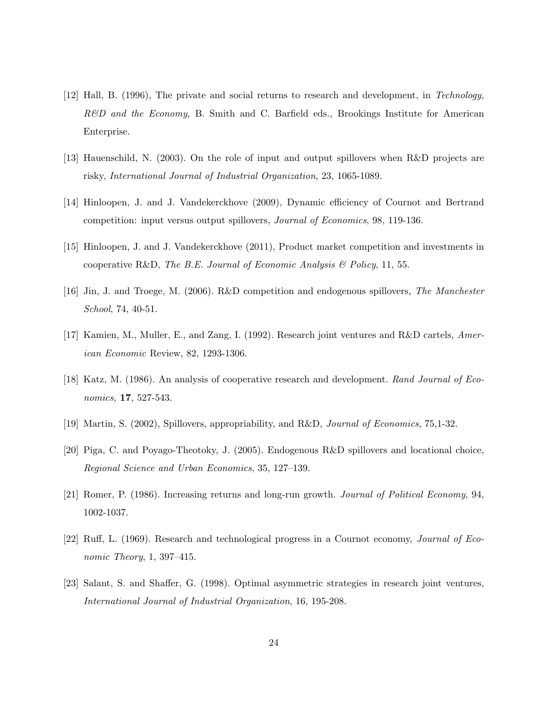- [12] Hall, B. (1996), The private and social returns to research and development, in Technology,  $R&D$  and the Economy, B. Smith and C. Barfield eds., Brookings Institute for American Enterprise.
- [13] Hauenschild, N. (2003). On the role of input and output spillovers when R&D projects are risky, International Journal of Industrial Organization, 23, 1065-1089.
- [14] Hinloopen, J. and J. Vandekerckhove (2009), Dynamic efficiency of Cournot and Bertrand competition: input versus output spillovers, Journal of Economics, 98, 119-136.
- [15] Hinloopen, J. and J. Vandekerckhove (2011), Product market competition and investments in cooperative R&D, The B.E. Journal of Economic Analysis  $\mathcal{B}$  Policy, 11, 55.
- [16] Jin, J. and Troege, M. (2006). R&D competition and endogenous spillovers, The Manchester School, 74, 40-51.
- [17] Kamien, M., Muller, E., and Zang, I. (1992). Research joint ventures and R&D cartels, American Economic Review, 82, 1293-1306.
- [18] Katz, M. (1986). An analysis of cooperative research and development. Rand Journal of Economics, 17, 527-543.
- [19] Martin, S. (2002), Spillovers, appropriability, and R&D, Journal of Economics, 75,1-32.
- [20] Piga, C. and Poyago-Theotoky, J. (2005). Endogenous R&D spillovers and locational choice, Regional Science and Urban Economics, 35, 127–139.
- [21] Romer, P. (1986). Increasing returns and long-run growth. Journal of Political Economy, 94, 1002-1037.
- [22] Ruff, L. (1969). Research and technological progress in a Cournot economy, Journal of Economic Theory, 1, 397–415.
- [23] Salant, S. and Shaffer, G. (1998). Optimal asymmetric strategies in research joint ventures, International Journal of Industrial Organization, 16, 195-208.